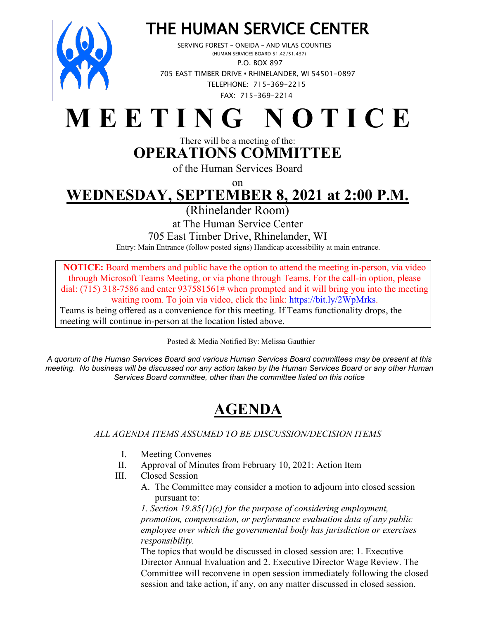

# THE HUMAN SERVICE CENTER<br>SERVING FOREST – ONEIDA – AND VILAS COUNTIES<br>(HUMAN SERVICES BOARD 51.42/51.437)

 P.O. BOX 897 705 EAST TIMBER DRIVE **•** RHINELANDER, WI 54501-0897 TELEPHONE: 715-369-2215 FAX: 715-369-2214

## **M E E T I N G N O T I C E**

#### There will be a meeting of the: **OPERATIONS COMMITTEE**

of the Human Services Board

on

## **WEDNESDAY, SEPTEMBER 8, 2021 at 2:00 P.M.**

(Rhinelander Room)

at The Human Service Center

705 East Timber Drive, Rhinelander, WI

Entry: Main Entrance (follow posted signs) Handicap accessibility at main entrance.

**NOTICE:** Board members and public have the option to attend the meeting in-person, via video through Microsoft Teams Meeting, or via phone through Teams. For the call-in option, please dial: (715) 318-7586 and enter 937581561# when prompted and it will bring you into the meeting waiting room. To join via video, click the link: [https://bit.ly/2WpMrks.](https://bit.ly/2WpMrks) Teams is being offered as a convenience for this meeting. If Teams functionality drops, the meeting will continue in-person at the location listed above.

Posted & Media Notified By: Melissa Gauthier

*A quorum of the Human Services Board and various Human Services Board committees may be present at this meeting. No business will be discussed nor any action taken by the Human Services Board or any other Human Services Board committee, other than the committee listed on this notice*

### **AGENDA**

#### *ALL AGENDA ITEMS ASSUMED TO BE DISCUSSION/DECISION ITEMS*

- I. Meeting Convenes
- II. Approval of Minutes from February 10, 2021: Action Item

\_\_\_\_\_\_\_\_\_\_\_\_\_\_\_\_\_\_\_\_\_\_\_\_\_\_\_\_\_\_\_\_\_\_\_\_\_\_\_\_\_\_\_\_\_\_\_\_\_\_\_\_\_\_\_\_\_\_\_\_\_\_\_\_\_\_\_\_\_\_\_\_\_\_\_\_\_\_\_\_\_\_\_\_\_\_\_\_\_\_\_\_\_\_\_\_\_\_\_\_\_\_\_\_\_\_\_\_\_\_\_\_\_\_\_\_

- III. Closed Session
	- A. The Committee may consider a motion to adjourn into closed session pursuant to:

*1. Section 19.85(1)(c) for the purpose of considering employment, promotion, compensation, or performance evaluation data of any public employee over which the governmental body has jurisdiction or exercises responsibility.* 

The topics that would be discussed in closed session are: 1. Executive Director Annual Evaluation and 2. Executive Director Wage Review. The Committee will reconvene in open session immediately following the closed session and take action, if any, on any matter discussed in closed session.